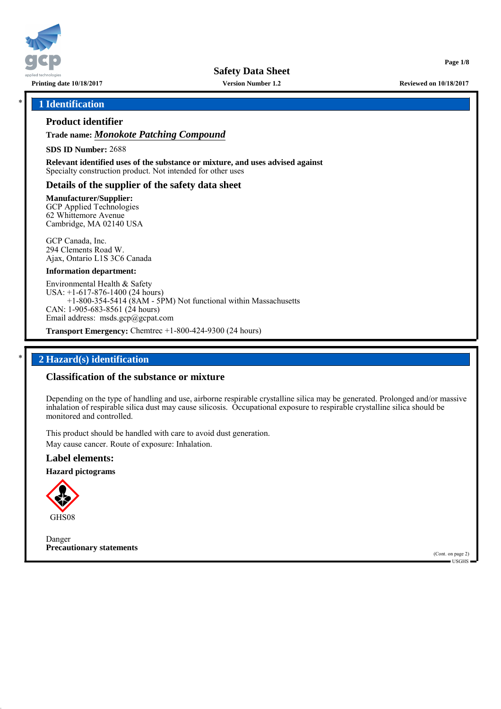

**Safety Data Sheet**

**Version Number 1.2**

### \* **1 Identification**

# **Product identifier**

**Trade name:** *Monokote Patching Compound*

**SDS ID Number:** 2688

**Relevant identified uses of the substance or mixture, and uses advised against** Specialty construction product. Not intended for other uses

### **Details of the supplier of the safety data sheet**

**Manufacturer/Supplier:** GCP Applied Technologies 62 Whittemore Avenue Cambridge, MA 02140 USA

GCP Canada, Inc. 294 Clements Road W. Ajax, Ontario L1S 3C6 Canada

#### **Information department:**

Environmental Health & Safety USA: +1-617-876-1400 (24 hours) +1-800-354-5414 (8AM - 5PM) Not functional within Massachusetts CAN: 1-905-683-8561 (24 hours) Email address: msds.gcp@gcpat.com

**Transport Emergency:** Chemtrec +1-800-424-9300 (24 hours)

### \* **2 Hazard(s) identification**

### **Classification of the substance or mixture**

Depending on the type of handling and use, airborne respirable crystalline silica may be generated. Prolonged and/or massive inhalation of respirable silica dust may cause silicosis. Occupational exposure to respirable crystalline silica should be monitored and controlled.

This product should be handled with care to avoid dust generation. May cause cancer. Route of exposure: Inhalation.

### **Label elements:**

**Hazard pictograms**



Danger **Precautionary statements**

(Cont. on page 2) USGHS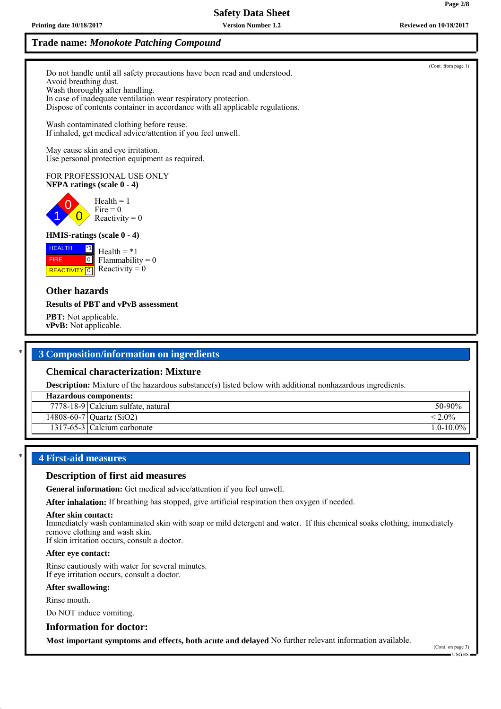# **Safety Data Sheet**

**Version Number 1.2**

**Page 2/8**

(Cont. from page 1)

# **Trade name:** *Monokote Patching Compound*

Do not handle until all safety precautions have been read and understood. Avoid breathing dust. Wash thoroughly after handling. In case of inadequate ventilation wear respiratory protection. Dispose of contents container in accordance with all applicable regulations.

Wash contaminated clothing before reuse. If inhaled, get medical advice/attention if you feel unwell.

May cause skin and eye irritation. Use personal protection equipment as required.

#### FOR PROFESSIONAL USE ONLY **NFPA ratings (scale 0 - 4)**

1 0  $\overline{0}$  $Health = 1$  $Fire = 0$ Reactivity  $= 0$ 

### **HMIS-ratings (scale 0 - 4)**

**HEALTH**  FIRE **REACTIVITY** 0 \*1  $\boxed{0}$ Health  $= *1$  $Flammability = 0$ Reactivity  $= 0$ 

### **Other hazards**

#### **Results of PBT and vPvB assessment**

**PBT:** Not applicable. **vPvB:** Not applicable.

### \* **3 Composition/information on ingredients**

#### **Chemical characterization: Mixture**

**Description:** Mixture of the hazardous substance(s) listed below with additional nonhazardous ingredients.

# **Hazardous components:** 7778-18-9 Calcium sulfate, natural 50-90%

 $14808-60-7$  Quartz (SiO2)  $\leq 2.0\%$ 

1317-65-3 Calcium carbonate 1.0-10.0%

### \* **4 First-aid measures**

### **Description of first aid measures**

**General information:** Get medical advice/attention if you feel unwell.

**After inhalation:** If breathing has stopped, give artificial respiration then oxygen if needed.

#### **After skin contact:**

Immediately wash contaminated skin with soap or mild detergent and water. If this chemical soaks clothing, immediately remove clothing and wash skin.

If skin irritation occurs, consult a doctor.

#### **After eye contact:**

Rinse cautiously with water for several minutes. If eye irritation occurs, consult a doctor.

#### **After swallowing:**

Rinse mouth.

Do NOT induce vomiting.

#### **Information for doctor:**

**Most important symptoms and effects, both acute and delayed** No further relevant information available.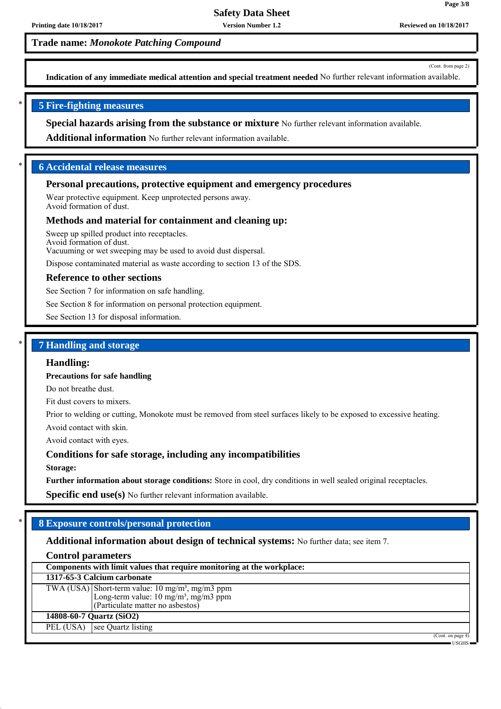**Version Number 1.2**

# **Trade name:** *Monokote Patching Compound*

(Cont. from page 2)

**Page 3/8**

**Indication of any immediate medical attention and special treatment needed** No further relevant information available.

### \* **5 Fire-fighting measures**

**Special hazards arising from the substance or mixture** No further relevant information available.

**Additional information** No further relevant information available.

### \* **6 Accidental release measures**

### **Personal precautions, protective equipment and emergency procedures**

Wear protective equipment. Keep unprotected persons away. Avoid formation of dust.

### **Methods and material for containment and cleaning up:**

Sweep up spilled product into receptacles. Avoid formation of dust. Vacuuming or wet sweeping may be used to avoid dust dispersal.

Dispose contaminated material as waste according to section 13 of the SDS.

#### **Reference to other sections**

See Section 7 for information on safe handling.

See Section 8 for information on personal protection equipment.

See Section 13 for disposal information.

### \* **7 Handling and storage**

### **Handling:**

#### **Precautions for safe handling**

Do not breathe dust.

Fit dust covers to mixers.

Prior to welding or cutting, Monokote must be removed from steel surfaces likely to be exposed to excessive heating.

Avoid contact with skin.

Avoid contact with eyes.

### **Conditions for safe storage, including any incompatibilities**

**Storage:**

**Further information about storage conditions:** Store in cool, dry conditions in well sealed original receptacles.

**Specific end use(s)** No further relevant information available.

### \* **8 Exposure controls/personal protection**

### **Additional information about design of technical systems:** No further data; see item 7.

### **Control parameters**

|           | Components with limit values that require monitoring at the workplace:                                                                              |  |
|-----------|-----------------------------------------------------------------------------------------------------------------------------------------------------|--|
|           | 1317-65-3 Calcium carbonate                                                                                                                         |  |
|           | TWA (USA) Short-term value: $10 \text{ mg/m}^3$ , mg/m3 ppm<br>Long-term value: $10 \text{ mg/m}^3$ , mg/m3 ppm<br>(Particulate matter no asbestos) |  |
|           | 14808-60-7 Quartz (SiO2)                                                                                                                            |  |
| PEL (USA) | see Quartz listing                                                                                                                                  |  |
|           | (Cont. on page 4)                                                                                                                                   |  |

USGHS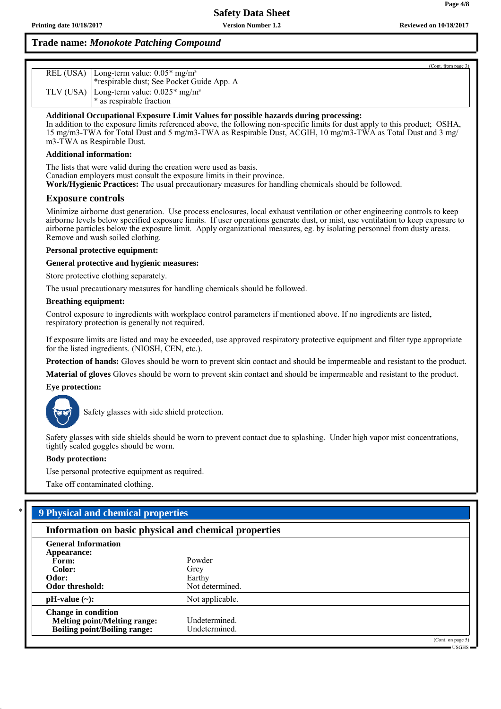| (Cont. from page 3)                                                               |
|-----------------------------------------------------------------------------------|
| REL (USA) $\lfloor$ Long-term value: 0.05* mg/m <sup>3</sup>                      |
| *respirable dust; See Pocket Guide App. A                                         |
| TLV (USA) Long-term value: $0.025*$ mg/m <sup>3</sup><br>* as respirable fraction |
|                                                                                   |

**Additional Occupational Exposure Limit Values for possible hazards during processing:**

In addition to the exposure limits referenced above, the following non-specific limits for dust apply to this product; OSHA, 15 mg/m3-TWA for Total Dust and 5 mg/m3-TWA as Respirable Dust, ACGIH, 10 mg/m3-TWA as Total Dust and 3 mg/ m3-TWA as Respirable Dust.

#### **Additional information:**

The lists that were valid during the creation were used as basis. Canadian employers must consult the exposure limits in their province. **Work/Hygienic Practices:** The usual precautionary measures for handling chemicals should be followed.

### **Exposure controls**

Minimize airborne dust generation. Use process enclosures, local exhaust ventilation or other engineering controls to keep airborne levels below specified exposure limits. If user operations generate dust, or mist, use ventilation to keep exposure to airborne particles below the exposure limit. Apply organizational measures, eg. by isolating personnel from dusty areas. Remove and wash soiled clothing.

#### **Personal protective equipment:**

**General protective and hygienic measures:**

Store protective clothing separately.

The usual precautionary measures for handling chemicals should be followed.

#### **Breathing equipment:**

Control exposure to ingredients with workplace control parameters if mentioned above. If no ingredients are listed, respiratory protection is generally not required.

If exposure limits are listed and may be exceeded, use approved respiratory protective equipment and filter type appropriate for the listed ingredients. (NIOSH, CEN, etc.).

**Protection of hands:** Gloves should be worn to prevent skin contact and should be impermeable and resistant to the product.

**Material of gloves** Gloves should be worn to prevent skin contact and should be impermeable and resistant to the product.

#### **Eye protection:**



Safety glasses with side shield protection.

Safety glasses with side shields should be worn to prevent contact due to splashing. Under high vapor mist concentrations, tightly sealed goggles should be worn.

#### **Body protection:**

Use personal protective equipment as required.

Take off contaminated clothing.

### \* **9 Physical and chemical properties**

| Information on basic physical and chemical properties                                                    |                                             |
|----------------------------------------------------------------------------------------------------------|---------------------------------------------|
| <b>General Information</b><br>Appearance:<br>Form:<br>Color:<br>Odor:<br>Odor threshold:                 | Powder<br>Grey<br>Earthy<br>Not determined. |
| $pH-value (\sim):$                                                                                       | Not applicable.                             |
| <b>Change in condition</b><br><b>Melting point/Melting range:</b><br><b>Boiling point/Boiling range:</b> | Undetermined.<br>Undetermined.              |
|                                                                                                          | (Cont. on page 5)                           |

**Page 4/8**

USGHS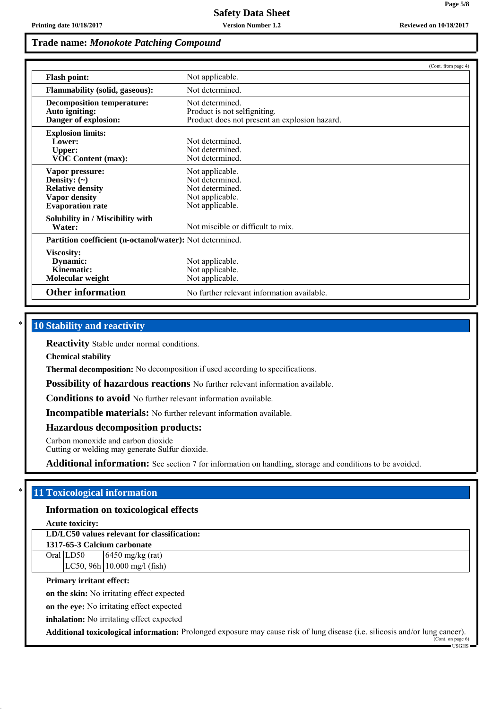|                                                                                                                    |                                                                                                  | (Cont. from page 4) |
|--------------------------------------------------------------------------------------------------------------------|--------------------------------------------------------------------------------------------------|---------------------|
| <b>Flash point:</b>                                                                                                | Not applicable.                                                                                  |                     |
| <b>Flammability (solid, gaseous):</b>                                                                              | Not determined.                                                                                  |                     |
| <b>Decomposition temperature:</b><br>Auto igniting:<br>Danger of explosion:                                        | Not determined.<br>Product is not selfigniting.<br>Product does not present an explosion hazard. |                     |
| <b>Explosion limits:</b><br>Lower:<br><b>Upper:</b><br><b>VOC Content (max):</b>                                   | Not determined<br>Not determined.<br>Not determined.                                             |                     |
| Vapor pressure:<br>Density: $(\sim)$<br><b>Relative density</b><br><b>Vapor density</b><br><b>Evaporation rate</b> | Not applicable.<br>Not determined.<br>Not determined.<br>Not applicable.<br>Not applicable.      |                     |
| Solubility in / Miscibility with<br>Water:                                                                         | Not miscible or difficult to mix.                                                                |                     |
| Partition coefficient (n-octanol/water): Not determined.                                                           |                                                                                                  |                     |
| Viscosity:<br>Dynamic:<br>Kinematic:<br>Molecular weight                                                           | Not applicable.<br>Not applicable.<br>Not applicable.                                            |                     |
| <b>Other information</b>                                                                                           | No further relevant information available.                                                       |                     |

# **10 Stability and reactivity**

**Reactivity** Stable under normal conditions.

**Chemical stability**

**Thermal decomposition:** No decomposition if used according to specifications.

**Possibility of hazardous reactions** No further relevant information available.

**Conditions to avoid** No further relevant information available.

**Incompatible materials:** No further relevant information available.

**Hazardous decomposition products:**

Carbon monoxide and carbon dioxide

Cutting or welding may generate Sulfur dioxide.

**Additional information:** See section 7 for information on handling, storage and conditions to be avoided.

### \* **11 Toxicological information**

# **Information on toxicological effects**

**Acute toxicity:**

**LD/LC50 values relevant for classification:**

**1317-65-3 Calcium carbonate** Oral LD50 6450 mg/kg (rat) LC50, 96h 10.000 mg/l (fish)

### **Primary irritant effect:**

**on the skin:** No irritating effect expected

**on the eye:** No irritating effect expected

**inhalation:** No irritating effect expected

**Additional toxicological information:** Prolonged exposure may cause risk of lung disease (i.e. silicosis and/or lung cancer).

(Cont. on page 6) USGHS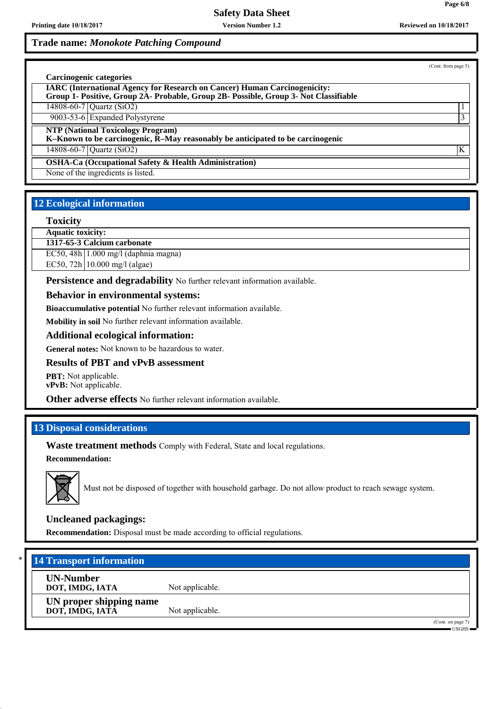(Cont. from page 5)

| Carcinogenic categories<br><b>IARC (International Agency for Research on Cancer) Human Carcinogenicity:</b><br>Group 1- Positive, Group 2A- Probable, Group 2B- Possible, Group 3- Not Classifiable |   |
|-----------------------------------------------------------------------------------------------------------------------------------------------------------------------------------------------------|---|
| 14808-60-7 Quartz (SiO2)                                                                                                                                                                            |   |
| 9003-53-6 Expanded Polystyrene                                                                                                                                                                      |   |
| <b>NTP (National Toxicology Program)</b><br>K-Known to be carcinogenic, R-May reasonably be anticipated to be carcinogenic<br>14808-60-7 Quartz (SiO2)                                              | K |
| <b>OSHA-Ca (Occupational Safety &amp; Health Administration)</b>                                                                                                                                    |   |
| None of the ingredients is listed.                                                                                                                                                                  |   |

# **12 Ecological information**

### **Toxicity**

**Aquatic toxicity:**

**1317-65-3 Calcium carbonate**

EC50, 48h 1.000 mg/l (daphnia magna)

EC50, 72h 10.000 mg/l (algae)

**Persistence and degradability** No further relevant information available.

### **Behavior in environmental systems:**

**Bioaccumulative potential** No further relevant information available.

**Mobility in soil** No further relevant information available.

### **Additional ecological information:**

**General notes:** Not known to be hazardous to water.

### **Results of PBT and vPvB assessment**

**PBT:** Not applicable. **vPvB:** Not applicable.

**Other adverse effects** No further relevant information available.

# **13 Disposal considerations**

**Waste treatment methods** Comply with Federal, State and local regulations.

**Recommendation:**



Must not be disposed of together with household garbage. Do not allow product to reach sewage system.

### **Uncleaned packagings:**

**Recommendation:** Disposal must be made according to official regulations.

# **14 Transport information**

**UN-Number**

**DOT, IMDG, IATA** Not applicable. **UN proper shipping name DOT, IMDG, IATA** Not applicable.

> (Cont. on page 7) USGHS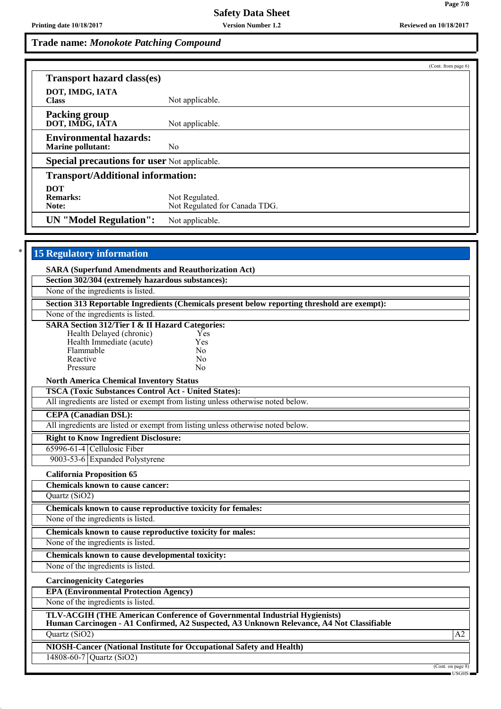|                                                           |                                                 | (Cont. from page 6) |
|-----------------------------------------------------------|-------------------------------------------------|---------------------|
| <b>Transport hazard class(es)</b>                         |                                                 |                     |
| DOT, IMDG, IATA<br><b>Class</b>                           | Not applicable.                                 |                     |
| <b>Packing group</b><br>DOT, IMDG, IATA                   | Not applicable.                                 |                     |
| <b>Environmental hazards:</b><br><b>Marine pollutant:</b> | No.                                             |                     |
| <b>Special precautions for user Not applicable.</b>       |                                                 |                     |
| <b>Transport/Additional information:</b>                  |                                                 |                     |
| <b>DOT</b><br><b>Remarks:</b><br>Note:                    | Not Regulated.<br>Not Regulated for Canada TDG. |                     |
| <b>UN</b> "Model Regulation":                             | Not applicable.                                 |                     |

| <b>15 Regulatory information</b>                            |                                                                                                                                                                       |                   |
|-------------------------------------------------------------|-----------------------------------------------------------------------------------------------------------------------------------------------------------------------|-------------------|
| <b>SARA (Superfund Amendments and Reauthorization Act)</b>  |                                                                                                                                                                       |                   |
| Section 302/304 (extremely hazardous substances):           |                                                                                                                                                                       |                   |
| None of the ingredients is listed.                          |                                                                                                                                                                       |                   |
|                                                             | Section 313 Reportable Ingredients (Chemicals present below reporting threshold are exempt):                                                                          |                   |
| None of the ingredients is listed.                          |                                                                                                                                                                       |                   |
| <b>SARA Section 312/Tier I &amp; II Hazard Categories:</b>  |                                                                                                                                                                       |                   |
| Health Delayed (chronic)                                    | Yes<br>Yes                                                                                                                                                            |                   |
| Health Immediate (acute)<br>Flammable                       | N <sub>0</sub>                                                                                                                                                        |                   |
| Reactive                                                    | N <sub>0</sub>                                                                                                                                                        |                   |
| Pressure                                                    | N <sub>0</sub>                                                                                                                                                        |                   |
| <b>North America Chemical Inventory Status</b>              |                                                                                                                                                                       |                   |
| <b>TSCA (Toxic Substances Control Act - United States):</b> |                                                                                                                                                                       |                   |
|                                                             | All ingredients are listed or exempt from listing unless otherwise noted below.                                                                                       |                   |
| <b>CEPA</b> (Canadian DSL):                                 |                                                                                                                                                                       |                   |
|                                                             | All ingredients are listed or exempt from listing unless otherwise noted below.                                                                                       |                   |
| <b>Right to Know Ingredient Disclosure:</b>                 |                                                                                                                                                                       |                   |
| 65996-61-4 Cellulosic Fiber                                 |                                                                                                                                                                       |                   |
| 9003-53-6 Expanded Polystyrene                              |                                                                                                                                                                       |                   |
| <b>California Proposition 65</b>                            |                                                                                                                                                                       |                   |
| <b>Chemicals known to cause cancer:</b>                     |                                                                                                                                                                       |                   |
| Quartz (SiO2)                                               |                                                                                                                                                                       |                   |
| Chemicals known to cause reproductive toxicity for females: |                                                                                                                                                                       |                   |
| None of the ingredients is listed.                          |                                                                                                                                                                       |                   |
| Chemicals known to cause reproductive toxicity for males:   |                                                                                                                                                                       |                   |
| None of the ingredients is listed.                          |                                                                                                                                                                       |                   |
| Chemicals known to cause developmental toxicity:            |                                                                                                                                                                       |                   |
| None of the ingredients is listed.                          |                                                                                                                                                                       |                   |
| <b>Carcinogenicity Categories</b>                           |                                                                                                                                                                       |                   |
| <b>EPA (Environmental Protection Agency)</b>                |                                                                                                                                                                       |                   |
| None of the ingredients is listed.                          |                                                                                                                                                                       |                   |
|                                                             | TLV-ACGIH (THE American Conference of Governmental Industrial Hygienists)<br>Human Carcinogen - A1 Confirmed, A2 Suspected, A3 Unknown Relevance, A4 Not Classifiable |                   |
| Quartz (SiO2)                                               |                                                                                                                                                                       | $\overline{A2}$   |
|                                                             | NIOSH-Cancer (National Institute for Occupational Safety and Health)                                                                                                  |                   |
| 14808-60-7 Quartz (SiO2)                                    |                                                                                                                                                                       |                   |
|                                                             |                                                                                                                                                                       | (Cont. on page 8) |